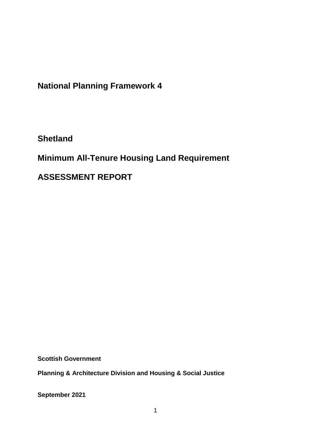**National Planning Framework 4**

**Shetland**

**Minimum All-Tenure Housing Land Requirement** 

**ASSESSMENT REPORT**

**Scottish Government**

**Planning & Architecture Division and Housing & Social Justice** 

**September 2021**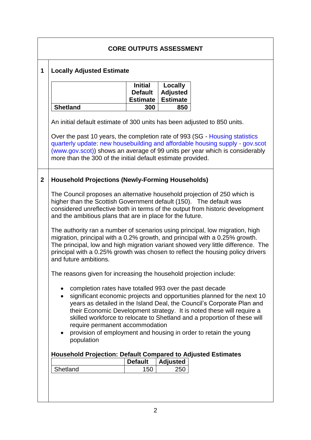|              | <b>CORE OUTPUTS ASSESSMENT</b>                                                                                                                                                                                                                                                                                                                                                                                                                                                        |                                                     |                                               |                                                                               |  |  |  |
|--------------|---------------------------------------------------------------------------------------------------------------------------------------------------------------------------------------------------------------------------------------------------------------------------------------------------------------------------------------------------------------------------------------------------------------------------------------------------------------------------------------|-----------------------------------------------------|-----------------------------------------------|-------------------------------------------------------------------------------|--|--|--|
| $\mathbf{1}$ | <b>Locally Adjusted Estimate</b>                                                                                                                                                                                                                                                                                                                                                                                                                                                      |                                                     |                                               |                                                                               |  |  |  |
|              |                                                                                                                                                                                                                                                                                                                                                                                                                                                                                       | <b>Initial</b><br><b>Default</b><br><b>Estimate</b> | Locally<br><b>Adjusted</b><br><b>Estimate</b> |                                                                               |  |  |  |
|              | <b>Shetland</b>                                                                                                                                                                                                                                                                                                                                                                                                                                                                       | 300                                                 | 850                                           |                                                                               |  |  |  |
|              | An initial default estimate of 300 units has been adjusted to 850 units.                                                                                                                                                                                                                                                                                                                                                                                                              |                                                     |                                               |                                                                               |  |  |  |
|              | Over the past 10 years, the completion rate of 993 (SG - Housing statistics<br>quarterly update: new housebuilding and affordable housing supply - gov.scot<br>(www.gov.scot)) shows an average of 99 units per year which is considerably<br>more than the 300 of the initial default estimate provided.                                                                                                                                                                             |                                                     |                                               |                                                                               |  |  |  |
| $\mathbf 2$  | <b>Household Projections (Newly-Forming Households)</b>                                                                                                                                                                                                                                                                                                                                                                                                                               |                                                     |                                               |                                                                               |  |  |  |
|              | The Council proposes an alternative household projection of 250 which is<br>higher than the Scottish Government default (150). The default was<br>and the ambitious plans that are in place for the future.                                                                                                                                                                                                                                                                           |                                                     |                                               | considered unreflective both in terms of the output from historic development |  |  |  |
|              | The authority ran a number of scenarios using principal, low migration, high<br>migration, principal with a 0.2% growth, and principal with a 0.25% growth.<br>The principal, low and high migration variant showed very little difference. The<br>principal with a 0.25% growth was chosen to reflect the housing policy drivers<br>and future ambitions.                                                                                                                            |                                                     |                                               |                                                                               |  |  |  |
|              | The reasons given for increasing the household projection include:                                                                                                                                                                                                                                                                                                                                                                                                                    |                                                     |                                               |                                                                               |  |  |  |
|              | completion rates have totalled 993 over the past decade<br>significant economic projects and opportunities planned for the next 10<br>$\bullet$<br>years as detailed in the Island Deal, the Council's Corporate Plan and<br>their Economic Development strategy. It is noted these will require a<br>skilled workforce to relocate to Shetland and a proportion of these will<br>require permanent accommodation<br>provision of employment and housing in order to retain the young |                                                     |                                               |                                                                               |  |  |  |
|              | population<br><b>Household Projection: Default Compared to Adjusted Estimates</b>                                                                                                                                                                                                                                                                                                                                                                                                     |                                                     |                                               |                                                                               |  |  |  |
|              |                                                                                                                                                                                                                                                                                                                                                                                                                                                                                       | <b>Default</b>                                      | <b>Adjusted</b>                               |                                                                               |  |  |  |
|              | Shetland                                                                                                                                                                                                                                                                                                                                                                                                                                                                              | 150                                                 | 250                                           |                                                                               |  |  |  |
|              |                                                                                                                                                                                                                                                                                                                                                                                                                                                                                       |                                                     |                                               |                                                                               |  |  |  |

٦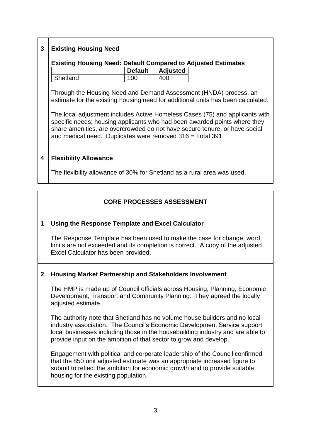# **3 Existing Housing Need**

# **Existing Housing Need: Default Compared to Adjusted Estimates**

|          | <b>Default</b> | <b>Adjusted</b> |
|----------|----------------|-----------------|
| Shetland | 100            | 400             |

Through the Housing Need and Demand Assessment (HNDA) process, an estimate for the existing housing need for additional units has been calculated.

The local adjustment includes Active Homeless Cases (75) and applicants with specific needs; housing applicants who had been awarded points where they share amenities, are overcrowded do not have secure tenure, or have social and medical need. Duplicates were removed 316 = Total 391.

### **4 Flexibility Allowance**

The flexibility allowance of 30% for Shetland as a rural area was used.

## **CORE PROCESSES ASSESSMENT**

### **1 Using the Response Template and Excel Calculator**

The Response Template has been used to make the case for change, word limits are not exceeded and its completion is correct. A copy of the adjusted Excel Calculator has been provided.

### **2 Housing Market Partnership and Stakeholders Involvement**

The HMP is made up of Council officials across Housing, Planning, Economic Development, Transport and Community Planning. They agreed the locally adjusted estimate.

The authority note that Shetland has no volume house builders and no local industry association. The Council's Economic Development Service support local businesses including those in the housebuilding industry and are able to provide input on the ambition of that sector to grow and develop.

Engagement with political and corporate leadership of the Council confirmed that the 850 unit adjusted estimate was an appropriate increased figure to submit to reflect the ambition for economic growth and to provide suitable housing for the existing population.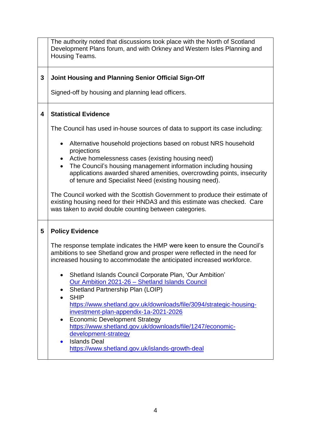|   | The authority noted that discussions took place with the North of Scotland<br>Development Plans forum, and with Orkney and Western Isles Planning and<br>Housing Teams.                                                                                                |  |  |  |  |
|---|------------------------------------------------------------------------------------------------------------------------------------------------------------------------------------------------------------------------------------------------------------------------|--|--|--|--|
| 3 | <b>Joint Housing and Planning Senior Official Sign-Off</b>                                                                                                                                                                                                             |  |  |  |  |
|   | Signed-off by housing and planning lead officers.                                                                                                                                                                                                                      |  |  |  |  |
| 4 | <b>Statistical Evidence</b>                                                                                                                                                                                                                                            |  |  |  |  |
|   | The Council has used in-house sources of data to support its case including:                                                                                                                                                                                           |  |  |  |  |
|   | Alternative household projections based on robust NRS household<br>٠                                                                                                                                                                                                   |  |  |  |  |
|   | projections<br>Active homelessness cases (existing housing need)<br>The Council's housing management information including housing<br>applications awarded shared amenities, overcrowding points, insecurity<br>of tenure and Specialist Need (existing housing need). |  |  |  |  |
|   | The Council worked with the Scottish Government to produce their estimate of<br>existing housing need for their HNDA3 and this estimate was checked. Care<br>was taken to avoid double counting between categories.                                                    |  |  |  |  |
| 5 | <b>Policy Evidence</b>                                                                                                                                                                                                                                                 |  |  |  |  |
|   | The response template indicates the HMP were keen to ensure the Council's<br>ambitions to see Shetland grow and prosper were reflected in the need for<br>increased housing to accommodate the anticipated increased workforce.                                        |  |  |  |  |
|   | Shetland Islands Council Corporate Plan, 'Our Ambition'<br>Our Ambition 2021-26 - Shetland Islands Council                                                                                                                                                             |  |  |  |  |
|   | Shetland Partnership Plan (LOIP)<br><b>SHIP</b>                                                                                                                                                                                                                        |  |  |  |  |
|   | https://www.shetland.gov.uk/downloads/file/3094/strategic-housing-<br>investment-plan-appendix-1a-2021-2026                                                                                                                                                            |  |  |  |  |
|   | <b>Economic Development Strategy</b>                                                                                                                                                                                                                                   |  |  |  |  |
|   | https://www.shetland.gov.uk/downloads/file/1247/economic-<br>development-strategy                                                                                                                                                                                      |  |  |  |  |
|   | <b>Islands Deal</b><br>$\bullet$<br>https://www.shetland.gov.uk/islands-growth-deal                                                                                                                                                                                    |  |  |  |  |